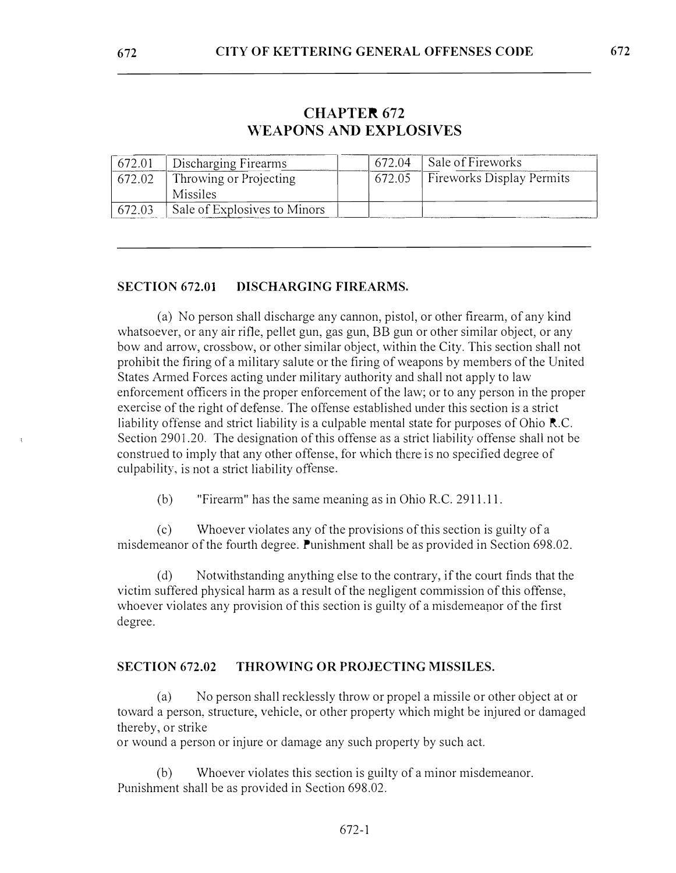# **CHAPTER 672 WEAPONS AND EXPLOSIVES**

| 672.01 | <b>Discharging Firearms</b>  | 672.04 | Sale of Fireworks                |
|--------|------------------------------|--------|----------------------------------|
| 672.02 | Throwing or Projecting       | 672.05 | <b>Fireworks Display Permits</b> |
|        | Missiles                     |        |                                  |
| 672.03 | Sale of Explosives to Minors |        |                                  |

## **SECTION 672.01 DISCHARGING FIREARMS.**

(a) No person shall discharge any cannon, pistol, or other firearm, of any kind whatsoever, or any air rifle, pellet gun, gas gun, BB gun or other similar object, or any bow and arrow, crossbow, or other similar object, within the City. This section shall not prohibit the firing of a military salute or the firing of weapons by members of the United States Armed Forces acting under military authority and shall not apply to law enforcement officers in the proper enforcement of the law; or to any person in the proper exercise of the right of defense. The offense established under this section is a strict liability offense and strict liability is a culpable mental state for purposes of Ohio R.C. Section 2901.20. The designation of this offense as a strict liability offense shall not be construed to imply that any other offense, for which there is no specified degree of culpability, is not a strict liability offense.

(b) "Fireann" has the same meaning as in Ohio R.C. 2911.11.

( c) Whoever violates any of the provisions of this section is guilty of a misdemeanor of the fourth degree. Punishment shall be as provided in Section 698.02.

(d) Notwithstanding anything else to the contrary, if the court finds that the victim suffered physical harm as a result of the negligent commission of this offense, whoever violates any provision of this section is guilty of a misdemeanor of the first degree.

### **SECTION 672.02 THROWING OR PROJECTING MISSILES.**

(a) No person shall recklessly throw or propel a missile or other object at or toward a person, structure, vehicle, or other property which might be injured or damaged thereby, or strike

or wound a person or injure or damage any such property by such act

(b) Whoever violates this section is guilty of a minor misdemeanor. Punishment shall be as provided in Section 698.02.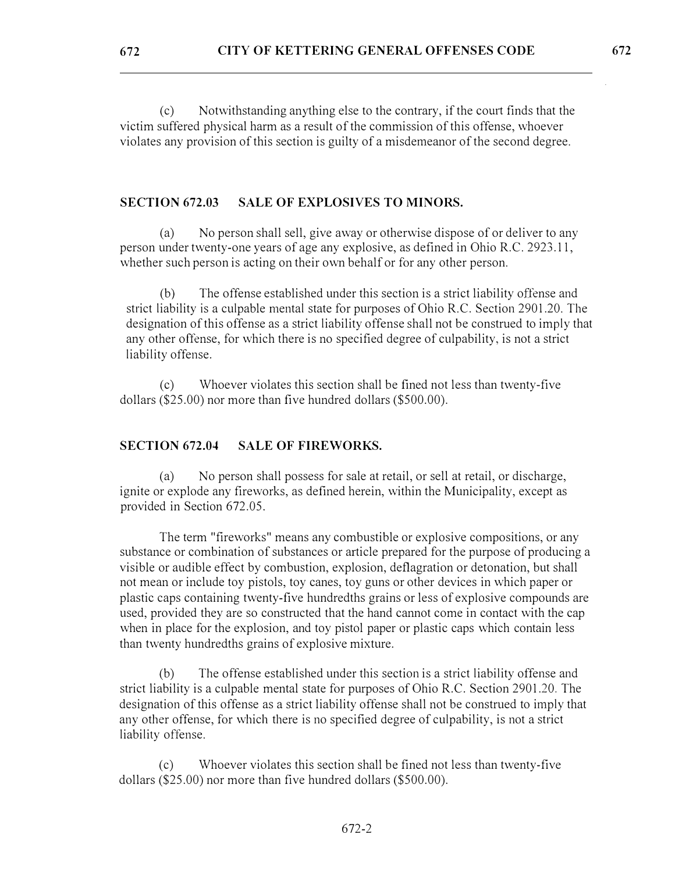(c) Notwithstanding anything else to the contrary, if the court finds that the victim suffered physical harm as a result of the commission of this offense, whoever violates any provision of this section is guilty of a misdemeanor of the second degree.

### **SECTION 672.03 SALE OF EXPLOSIVES TO MINORS.**

(a) No person shall sell, give away or otherwise dispose of or deliver to any person under twenty-one years of age any explosive, as defined in Ohio R.C. 2923.11, whether such person is acting on their own behalf or for any other person.

(b) The offense established under this section is a strict liability offense and strict liability is a culpable mental state for purposes of Ohio R.C. Section 2901.20. The designation of this offense as a strict liability offense shall not be construed to imply that any other offense, for which there is no specified degree of culpability, is not a strict liability offense.

( c) Whoever violates this section shall be fined not less than twenty-five dollars (\$25.00) nor more than five hundred dollars (\$500.00).

### **SECTION 672.04 SALE OF FIREWORKS.**

(a) No person shall possess for sale at retail, or sell at retail, or discharge, ignite or explode any fireworks, as defined herein, within the Municipality, except as provided in Section 672.05.

The term "fireworks" means any combustible or explosive compositions, or any substance or combination of substances or article prepared for the purpose of producing a visible or audible effect by combustion, explosion, deflagration or detonation, but shall not mean or include toy pistols, toy canes, toy guns or other devices in which paper or plastic caps containing twenty-five hundredths grains or less of explosive compounds are used, provided they are so constructed that the hand cannot come in contact with the cap when in place for the explosion, and toy pistol paper or plastic caps which contain less than twenty hundredths grains of explosive mixture.

(b) The offense established under this section is a strict liability offense and strict liability is a culpable mental state for purposes of Ohio R.C. Section 2901.20. The designation of this offense as a strict liability offense shall not be construed to imply that any other offense, for which there is no specified degree of culpability, is not a strict liability offense.

Whoever violates this section shall be fined not less than twenty-five dollars (\$25.00) nor more than five hundred dollars (\$500.00).